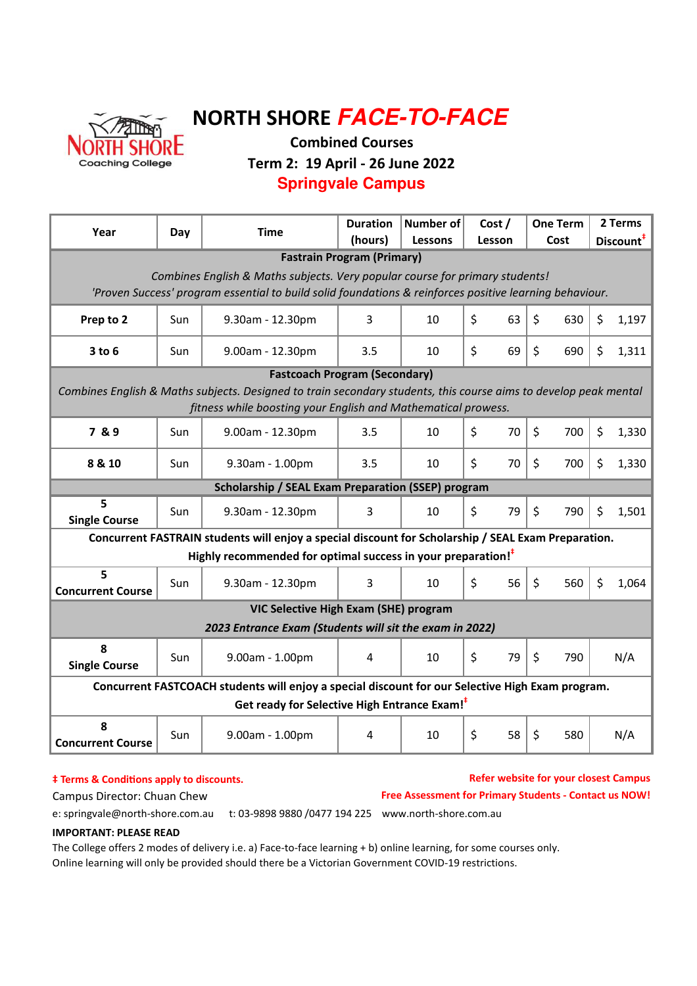

# NORTH SHORE **FACE-TO-FACE**

Combined Courses

Term 2: 19 April - 26 June 2022

### **Springvale Campus**

| Year                                                                                                                                                                                    | Day | <b>Time</b>                                                              | <b>Duration</b><br>(hours) | <b>Number of</b><br><b>Lessons</b> | Cost /<br>Lesson | <b>One Term</b><br>Cost | 2 Terms<br>Discount <sup>#</sup> |  |  |  |  |  |
|-----------------------------------------------------------------------------------------------------------------------------------------------------------------------------------------|-----|--------------------------------------------------------------------------|----------------------------|------------------------------------|------------------|-------------------------|----------------------------------|--|--|--|--|--|
| <b>Fastrain Program (Primary)</b>                                                                                                                                                       |     |                                                                          |                            |                                    |                  |                         |                                  |  |  |  |  |  |
| Combines English & Maths subjects. Very popular course for primary students!<br>'Proven Success' program essential to build solid foundations & reinforces positive learning behaviour. |     |                                                                          |                            |                                    |                  |                         |                                  |  |  |  |  |  |
| Prep to 2                                                                                                                                                                               | Sun | 9.30am - 12.30pm                                                         | 3                          | 10                                 | \$<br>63         | \$<br>630               | \$<br>1,197                      |  |  |  |  |  |
| $3$ to $6$                                                                                                                                                                              | Sun | 9.00am - 12.30pm                                                         | 3.5                        | 10                                 | $\zeta$<br>69    | $\zeta$<br>690          | \$<br>1,311                      |  |  |  |  |  |
| <b>Fastcoach Program (Secondary)</b>                                                                                                                                                    |     |                                                                          |                            |                                    |                  |                         |                                  |  |  |  |  |  |
| Combines English & Maths subjects. Designed to train secondary students, this course aims to develop peak mental                                                                        |     |                                                                          |                            |                                    |                  |                         |                                  |  |  |  |  |  |
| fitness while boosting your English and Mathematical prowess.                                                                                                                           |     |                                                                          |                            |                                    |                  |                         |                                  |  |  |  |  |  |
| 7 & 9                                                                                                                                                                                   | Sun | 9.00am - 12.30pm                                                         | 3.5                        | 10                                 | \$<br>70         | \$<br>700               | \$<br>1,330                      |  |  |  |  |  |
| 8 & 10                                                                                                                                                                                  | Sun | 9.30am - 1.00pm                                                          | 3.5                        | 10                                 | \$<br>70         | \$<br>700               | \$<br>1,330                      |  |  |  |  |  |
| <b>Scholarship / SEAL Exam Preparation (SSEP) program</b>                                                                                                                               |     |                                                                          |                            |                                    |                  |                         |                                  |  |  |  |  |  |
| 5<br><b>Single Course</b>                                                                                                                                                               | Sun | 9.30am - 12.30pm                                                         | 3                          | 10                                 | \$<br>79         | \$<br>790               | \$<br>1,501                      |  |  |  |  |  |
| Concurrent FASTRAIN students will enjoy a special discount for Scholarship / SEAL Exam Preparation.                                                                                     |     |                                                                          |                            |                                    |                  |                         |                                  |  |  |  |  |  |
|                                                                                                                                                                                         |     | Highly recommended for optimal success in your preparation! <sup>†</sup> |                            |                                    |                  |                         |                                  |  |  |  |  |  |
| 5<br><b>Concurrent Course</b>                                                                                                                                                           | Sun | 9.30am - 12.30pm                                                         | 3                          | 10                                 | \$<br>56         | \$<br>560               | \$<br>1,064                      |  |  |  |  |  |
|                                                                                                                                                                                         |     | VIC Selective High Exam (SHE) program                                    |                            |                                    |                  |                         |                                  |  |  |  |  |  |
| 2023 Entrance Exam (Students will sit the exam in 2022)                                                                                                                                 |     |                                                                          |                            |                                    |                  |                         |                                  |  |  |  |  |  |
| 8<br><b>Single Course</b>                                                                                                                                                               | Sun | 9.00am - 1.00pm                                                          | 4                          | 10                                 | \$<br>79         | $\zeta$<br>790          | N/A                              |  |  |  |  |  |
| Concurrent FASTCOACH students will enjoy a special discount for our Selective High Exam program.                                                                                        |     |                                                                          |                            |                                    |                  |                         |                                  |  |  |  |  |  |
| Get ready for Selective High Entrance Exam! <sup>#</sup>                                                                                                                                |     |                                                                          |                            |                                    |                  |                         |                                  |  |  |  |  |  |
| 8<br><b>Concurrent Course</b>                                                                                                                                                           | Sun | 9.00am - 1.00pm                                                          | 4                          | 10                                 | $\zeta$<br>58    | \$<br>580               | N/A                              |  |  |  |  |  |

#### $‡$  Terms & Conditions apply to discounts.

Refer website for your closest Campus Campus Director: Chuan Chew **Free Assessment for Primary Students - Contact us NOW!** 

e: springvale@north-shore.com.au t: 03-9898 9880 /0477 194 225 www.north-shore.com.au

#### IMPORTANT: PLEASE READ

The College offers 2 modes of delivery i.e. a) Face-to-face learning + b) online learning, for some courses only. Online learning will only be provided should there be a Victorian Government COVID-19 restrictions.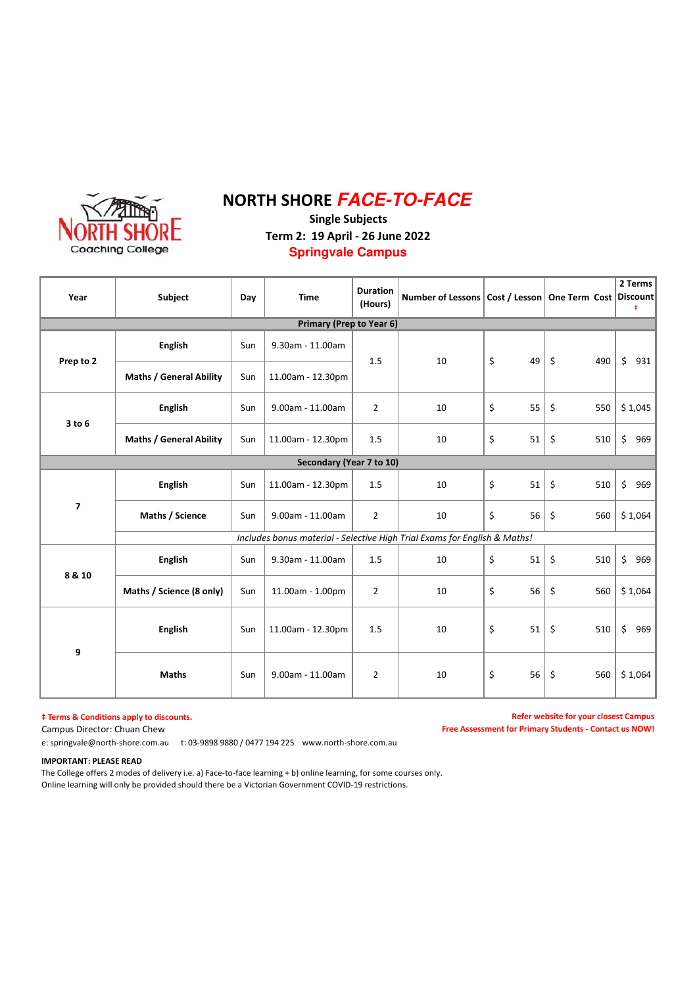

## NORTH SHORE **FACE-TO-FACE**

Single Subjects Term 2: 19 April - 26 June 2022 **Springvale Campus**

| Year                     | Subject                        |                                                                           | <b>Time</b>                     | <b>Duration</b><br>(Hours) | Number of Lessons   Cost / Lesson   One Term Cost   Discount |          |                             | 2 Terms<br>ŧ |  |  |
|--------------------------|--------------------------------|---------------------------------------------------------------------------|---------------------------------|----------------------------|--------------------------------------------------------------|----------|-----------------------------|--------------|--|--|
|                          |                                |                                                                           | <b>Primary (Prep to Year 6)</b> |                            |                                                              |          |                             |              |  |  |
| Prep to 2                | <b>English</b>                 | Sun                                                                       | 9.30am - 11.00am                | 1.5                        | 10                                                           | \$<br>49 | $\boldsymbol{\zeta}$<br>490 | \$<br>931    |  |  |
|                          | <b>Maths / General Ability</b> | Sun                                                                       | 11.00am - 12.30pm               |                            |                                                              |          |                             |              |  |  |
| 3 to 6                   | <b>English</b>                 | Sun                                                                       | 9.00am - 11.00am                | $\overline{2}$             | 10                                                           | \$<br>55 | \$<br>550                   | \$1,045      |  |  |
|                          | <b>Maths / General Ability</b> | Sun                                                                       | 11.00am - 12.30pm               | 1.5                        | 10                                                           | \$<br>51 | \$<br>510                   | \$<br>969    |  |  |
| Secondary (Year 7 to 10) |                                |                                                                           |                                 |                            |                                                              |          |                             |              |  |  |
| $\overline{\mathbf{z}}$  | <b>English</b>                 | Sun                                                                       | 11.00am - 12.30pm               | 1.5                        | 10                                                           | \$<br>51 | \$<br>510                   | \$<br>969    |  |  |
|                          | Maths / Science                | Sun                                                                       | 9.00am - 11.00am                | $\overline{2}$             | 10                                                           | \$<br>56 | \$<br>560                   | \$1,064      |  |  |
|                          |                                | Includes bonus material - Selective High Trial Exams for English & Maths! |                                 |                            |                                                              |          |                             |              |  |  |
| 8 & 10                   | <b>English</b>                 | Sun                                                                       | 9.30am - 11.00am                | 1.5                        | 10                                                           | \$<br>51 | \$<br>510                   | \$<br>969    |  |  |
|                          | Maths / Science (8 only)       | Sun                                                                       | 11.00am - 1.00pm                | $\overline{2}$             | 10                                                           | \$<br>56 | \$<br>560                   | \$1,064      |  |  |
| 9                        | English                        | Sun                                                                       | 11.00am - 12.30pm               | 1.5                        | 10                                                           | \$<br>51 | \$<br>510                   | \$<br>969    |  |  |
|                          | <b>Maths</b>                   | Sun                                                                       | 9.00am - 11.00am                | $\overline{2}$             | 10                                                           | \$<br>56 | \$<br>560                   | \$1,064      |  |  |

#### $\ddagger$  Terms & Conditions apply to discounts.

Campus Director: Chuan Chew

Refer website for your closest Campus Free Assessment for Primary Students - Contact us NOW!

e: springvale@north-shore.com.au t: 03-9898 9880 / 0477 194 225 www.north-shore.com.au

#### IMPORTANT: PLEASE READ

The College offers 2 modes of delivery i.e. a) Face-to-face learning + b) online learning, for some courses only. Online learning will only be provided should there be a Victorian Government COVID-19 restrictions.